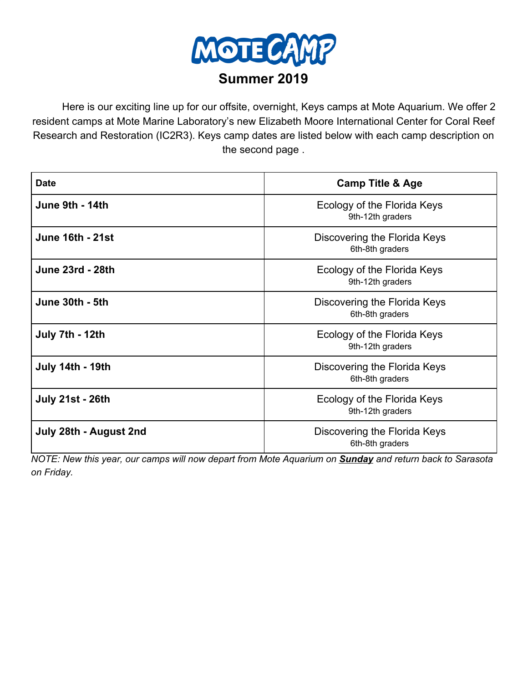

Here is our exciting line up for our offsite, overnight, Keys camps at Mote Aquarium. We offer 2 resident camps at Mote Marine Laboratory's new Elizabeth Moore International Center for Coral Reef Research and Restoration (IC2R3). Keys camp dates are listed below with each camp description on the second page .

| <b>Date</b>             | <b>Camp Title &amp; Age</b>                     |
|-------------------------|-------------------------------------------------|
| June 9th - 14th         | Ecology of the Florida Keys<br>9th-12th graders |
| <b>June 16th - 21st</b> | Discovering the Florida Keys<br>6th-8th graders |
| <b>June 23rd - 28th</b> | Ecology of the Florida Keys<br>9th-12th graders |
| June 30th - 5th         | Discovering the Florida Keys<br>6th-8th graders |
| July 7th - 12th         | Ecology of the Florida Keys<br>9th-12th graders |
| <b>July 14th - 19th</b> | Discovering the Florida Keys<br>6th-8th graders |
| <b>July 21st - 26th</b> | Ecology of the Florida Keys<br>9th-12th graders |
| July 28th - August 2nd  | Discovering the Florida Keys<br>6th-8th graders |

NOTE: New this year, our camps will now depart from Mote Aquarium on Sunday and return back to Sarasota *on Friday.*